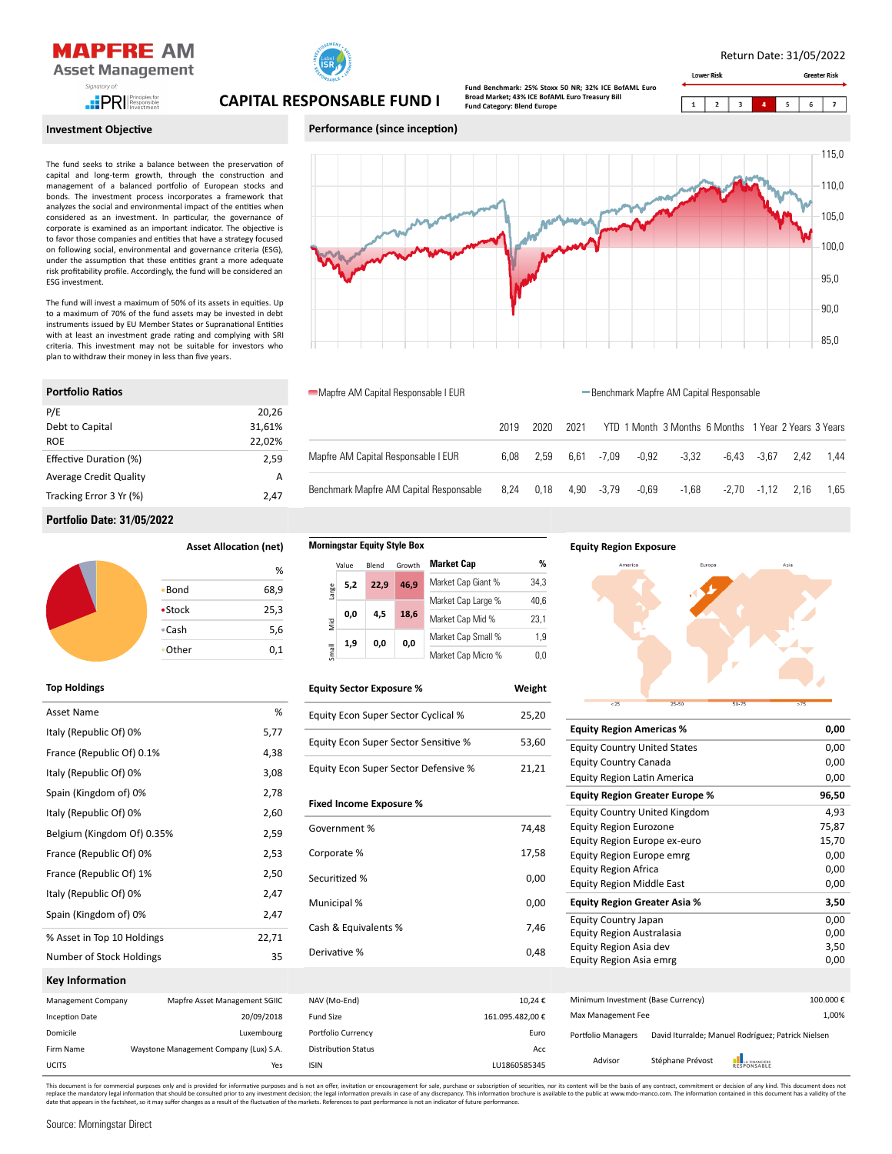# **MAPFRE AM**





# CAPITAL RESPONSABLE FUND I Broad Market; 43% ICE BofAN

# Fund Benchmark: 25% Stoxx 50 NR; 32% ICE BofAML Euro

## Return Date: 31/05/2022



#### Investment Objective

The fund seeks to strike a balance between the preservation of capital and long-term growth, through the construction and management of a balanced portfolio of European stocks and bonds. The investment process incorporates a framework that analyzes the social and environmental impact of the entities when considered as an investment. In par�cular, the governance of corporate is examined as an important indicator. The objective is to favor those companies and en��es that have a strategy focused on following social, environmental and governance criteria (ESG), under the assumption that these entities grant a more adequate risk profitability profile. Accordingly, the fund will be considered an ESG investment.

The fund will invest a maximum of 50% of its assets in equities. Up to a maximum of 70% of the fund assets may be invested in debt instruments issued by EU Member States or Supranational Entities with at least an investment grade rating and complying with SRI criteria. This investment may not be suitable for investors who plan to withdraw their money in less than five years.

#### Portfolio Ratios

| P/E                     | 20.26  |
|-------------------------|--------|
| Debt to Capital         | 31,61% |
| ROE                     | 22,02% |
| Effective Duration (%)  | 2,59   |
| Average Credit Quality  | А      |
| Tracking Error 3 Yr (%) | 2.47   |

#### **Portfolio Date: 31/05/2022**

|              | <b>Asset Allocation (net)</b> |  |
|--------------|-------------------------------|--|
|              | %                             |  |
| • Bond       | 68,9                          |  |
| •Stock       | 25,3                          |  |
| $\cdot$ Cash | 5,6                           |  |
| Other        | 0,1                           |  |

#### Top Holdings

| Asset Name                 | %                                      |
|----------------------------|----------------------------------------|
| Italy (Republic Of) 0%     | 5,77                                   |
| France (Republic Of) 0.1%  | 4,38                                   |
| Italy (Republic Of) 0%     | 3,08                                   |
| Spain (Kingdom of) 0%      | 2,78                                   |
| Italy (Republic Of) 0%     | 2,60                                   |
| Belgium (Kingdom Of) 0.35% | 2,59                                   |
| France (Republic Of) 0%    | 2,53                                   |
| France (Republic Of) 1%    | 2,50                                   |
| Italy (Republic Of) 0%     | 2,47                                   |
| Spain (Kingdom of) 0%      | 2,47                                   |
| % Asset in Top 10 Holdings | 22,71                                  |
| Number of Stock Holdings   | 35                                     |
| Key Information            |                                        |
| <b>Management Company</b>  | Mapfre Asset Management SGIIC          |
| <b>Inception Date</b>      | 20/09/2018                             |
| Domicile                   | Luxembourg                             |
| <b>Firm Name</b>           | Waystone Management Company (Lux) S.A. |

Yes



#### ■Mapfre AM Capital Responsable I EUR Benchmark Mapfre AM Capital Responsable

|                                     | 2019 | 2020 | 2021 |                                      |       | YTD 1 Month 3 Months 6 Months 1 Year 2 Years 3 Years |                               |  |
|-------------------------------------|------|------|------|--------------------------------------|-------|------------------------------------------------------|-------------------------------|--|
| Mapfre AM Capital Responsable I EUR |      |      |      | $6.08$ $2.59$ $6.61$ $-7.09$ $-0.92$ | -3.32 |                                                      | $-6.43$ $-3.67$ $2.42$ $1.44$ |  |
|                                     |      |      |      |                                      | -1.68 |                                                      | -2.70 -1.12 2.16 1.65         |  |

#### **Morningstar Equity Style Box** 5,2 22,9 46,9 0,0 4,5 18,6  $1,9$  0,0 0,0 Value Blend Growth **Market Cap** 9% 34,3<br>  $\frac{8}{3}$  5,2 22,9 46,9 Market Cap Giant % 34,3<br>
Market Cap Large % 40,6<br>  $\frac{8}{5}$  1.9 0,0 0,0 Market Cap Mid % 23,1<br>
Market Cap Mid % 23,1<br>
Market Cap Small % 1,9<br>
Market Cap Mic Market Cap Giant % 34,3 Market Cap Large % 40,6 Market Cap Mid % 23,1 Market Cap Small % 1,9 Market Cap Micro % 0,0

| <b>Equity Sector Exposure %</b>      | Weight           |
|--------------------------------------|------------------|
| Equity Econ Super Sector Cyclical %  | 25,20            |
| Equity Econ Super Sector Sensitive % | 53,60            |
| Equity Econ Super Sector Defensive % | 21,21            |
| <b>Fixed Income Exposure %</b>       |                  |
| Government %                         | 74,48            |
| Corporate %                          | 17,58            |
| Securitized %                        | 0,00             |
| Municipal %                          | 0,00             |
| Cash & Equivalents %                 | 7.46             |
| Derivative %                         | 0,48             |
|                                      |                  |
| NAV (Mo-End)                         | 10,24€           |
| <b>Fund Size</b>                     | 161.095.482,00 € |
| Portfolio Currency                   | Euro             |
| <b>Distribution Status</b>           | Асс              |
| <b>ISIN</b>                          | LU1860585345     |

#### Equity Region Exposure



| <b>Equity Region Americas %</b>       |                                                    |      | 0,00     |  |
|---------------------------------------|----------------------------------------------------|------|----------|--|
| <b>Equity Country United States</b>   |                                                    | 0,00 |          |  |
|                                       | Equity Country Canada                              |      |          |  |
| Equity Region Latin America           |                                                    |      | 0.00     |  |
| <b>Equity Region Greater Europe %</b> |                                                    |      | 96,50    |  |
| <b>Equity Country United Kingdom</b>  |                                                    |      | 4,93     |  |
| <b>Equity Region Eurozone</b>         |                                                    |      | 75,87    |  |
| Equity Region Europe ex-euro          |                                                    |      | 15,70    |  |
| Equity Region Europe emrg             |                                                    |      | 0,00     |  |
| <b>Equity Region Africa</b>           |                                                    |      | 0,00     |  |
| <b>Equity Region Middle East</b>      |                                                    |      | 0,00     |  |
| <b>Equity Region Greater Asia %</b>   |                                                    |      | 3,50     |  |
| <b>Equity Country Japan</b>           |                                                    |      | 0,00     |  |
| Equity Region Australasia             |                                                    |      | 0,00     |  |
| Equity Region Asia dev                |                                                    |      | 3,50     |  |
| Equity Region Asia emrg               |                                                    |      | 0,00     |  |
|                                       |                                                    |      |          |  |
| Minimum Investment (Base Currency)    |                                                    |      | 100.000€ |  |
| Max Management Fee                    |                                                    |      | 1,00%    |  |
| Portfolio Managers                    | David Iturralde; Manuel Rodríguez; Patrick Nielsen |      |          |  |
| Advisor                               | Stéphane Prévost                                   |      |          |  |

This document is for commercial purposes only and is provided for informative purposes and is not an offer, invitation or encouragement for sale, purchase or subscription of securities, nor its content will be the basis of

**UCITS**